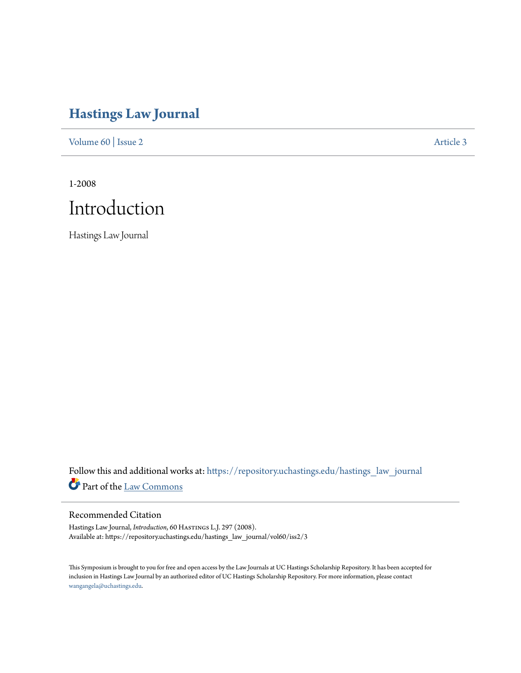# **[Hastings Law Journal](https://repository.uchastings.edu/hastings_law_journal?utm_source=repository.uchastings.edu%2Fhastings_law_journal%2Fvol60%2Fiss2%2F3&utm_medium=PDF&utm_campaign=PDFCoverPages)**

[Volume 60](https://repository.uchastings.edu/hastings_law_journal/vol60?utm_source=repository.uchastings.edu%2Fhastings_law_journal%2Fvol60%2Fiss2%2F3&utm_medium=PDF&utm_campaign=PDFCoverPages) | [Issue 2](https://repository.uchastings.edu/hastings_law_journal/vol60/iss2?utm_source=repository.uchastings.edu%2Fhastings_law_journal%2Fvol60%2Fiss2%2F3&utm_medium=PDF&utm_campaign=PDFCoverPages) [Article 3](https://repository.uchastings.edu/hastings_law_journal/vol60/iss2/3?utm_source=repository.uchastings.edu%2Fhastings_law_journal%2Fvol60%2Fiss2%2F3&utm_medium=PDF&utm_campaign=PDFCoverPages)

1-2008



Hastings Law Journal

Follow this and additional works at: [https://repository.uchastings.edu/hastings\\_law\\_journal](https://repository.uchastings.edu/hastings_law_journal?utm_source=repository.uchastings.edu%2Fhastings_law_journal%2Fvol60%2Fiss2%2F3&utm_medium=PDF&utm_campaign=PDFCoverPages) Part of the [Law Commons](http://network.bepress.com/hgg/discipline/578?utm_source=repository.uchastings.edu%2Fhastings_law_journal%2Fvol60%2Fiss2%2F3&utm_medium=PDF&utm_campaign=PDFCoverPages)

#### Recommended Citation

Hastings Law Journal, *Introduction*, 60 HASTINGS L.J. 297 (2008). Available at: https://repository.uchastings.edu/hastings\_law\_journal/vol60/iss2/3

This Symposium is brought to you for free and open access by the Law Journals at UC Hastings Scholarship Repository. It has been accepted for inclusion in Hastings Law Journal by an authorized editor of UC Hastings Scholarship Repository. For more information, please contact [wangangela@uchastings.edu](mailto:wangangela@uchastings.edu).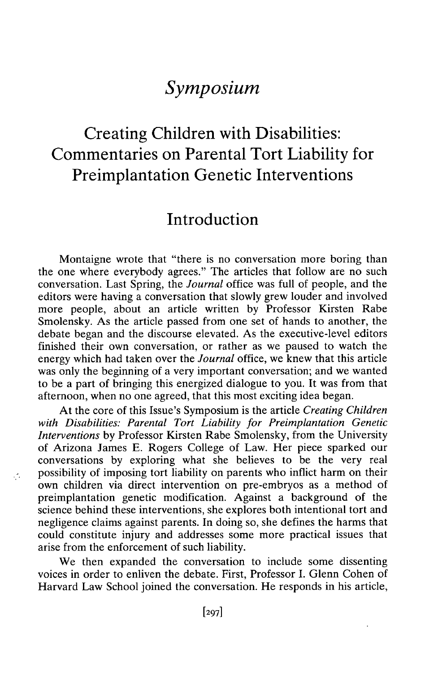### *Symposium*

## Creating Children with Disabilities: Commentaries on Parental Tort Liability for Preimplantation Genetic Interventions

#### Introduction

Montaigne wrote that "there is no conversation more boring than the one where everybody agrees." The articles that follow are no such conversation. Last Spring, the *Journal* office was full of people, and the editors were having a conversation that slowly grew louder and involved more people, about an article written by Professor Kirsten Rabe Smolensky. As the article passed from one set of hands to another, the debate began and the discourse elevated. As the executive-level editors finished their own conversation, or rather as we paused to watch the energy which had taken over the *Journal* office, we knew that this article was only the beginning of a very important conversation; and we wanted to be a part of bringing this energized dialogue to you. It was from that afternoon, when no one agreed, that this most exciting idea began.

At the core of this Issue's Symposium is the article *Creating Children with Disabilities: Parental Tort Liability for Preimplantation Genetic Interventions* by Professor Kirsten Rabe Smolensky, from the University of Arizona James E. Rogers College of Law. Her piece sparked our conversations by exploring what she believes to be the very real possibility of imposing tort liability on parents who inflict harm on their own children via direct intervention on pre-embryos as a method of preimplantation genetic modification. Against a background of the science behind these interventions, she explores both intentional tort and negligence claims against parents. In doing so, she defines the harms that could constitute injury and addresses some more practical issues that arise from the enforcement of such liability.

 $\mathcal{L}_\mathrm{c}$ 

We then expanded the conversation to include some dissenting voices in order to enliven the debate. First, Professor I. Glenn Cohen of Harvard Law School joined the conversation. He responds in his article,